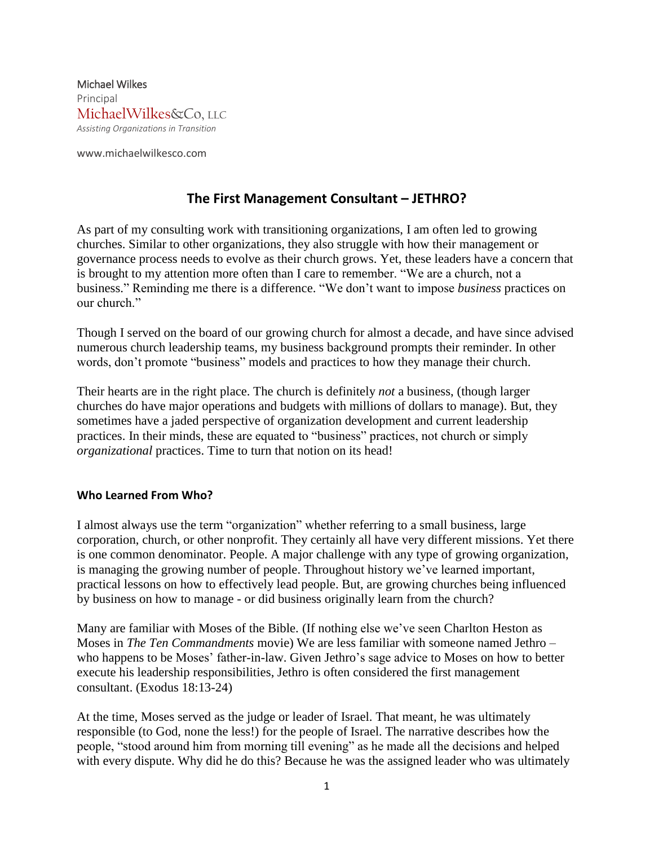Michael Wilkes Principal MichaelWilkes&Co, LLC *Assisting Organizations in Transition*

www.michaelwilkesco.com

## **The First Management Consultant – JETHRO?**

As part of my consulting work with transitioning organizations, I am often led to growing churches. Similar to other organizations, they also struggle with how their management or governance process needs to evolve as their church grows. Yet, these leaders have a concern that is brought to my attention more often than I care to remember. "We are a church, not a business." Reminding me there is a difference. "We don't want to impose *business* practices on our church."

Though I served on the board of our growing church for almost a decade, and have since advised numerous church leadership teams, my business background prompts their reminder. In other words, don't promote "business" models and practices to how they manage their church.

Their hearts are in the right place. The church is definitely *not* a business, (though larger churches do have major operations and budgets with millions of dollars to manage). But, they sometimes have a jaded perspective of organization development and current leadership practices. In their minds, these are equated to "business" practices, not church or simply *organizational* practices. Time to turn that notion on its head!

## **Who Learned From Who?**

I almost always use the term "organization" whether referring to a small business, large corporation, church, or other nonprofit. They certainly all have very different missions. Yet there is one common denominator. People. A major challenge with any type of growing organization, is managing the growing number of people. Throughout history we've learned important, practical lessons on how to effectively lead people. But, are growing churches being influenced by business on how to manage - or did business originally learn from the church?

Many are familiar with Moses of the Bible. (If nothing else we've seen Charlton Heston as Moses in *The Ten Commandments* movie) We are less familiar with someone named Jethro – who happens to be Moses' father-in-law. Given Jethro's sage advice to Moses on how to better execute his leadership responsibilities, Jethro is often considered the first management consultant. (Exodus 18:13-24)

At the time, Moses served as the judge or leader of Israel. That meant, he was ultimately responsible (to God, none the less!) for the people of Israel. The narrative describes how the people, "stood around him from morning till evening" as he made all the decisions and helped with every dispute. Why did he do this? Because he was the assigned leader who was ultimately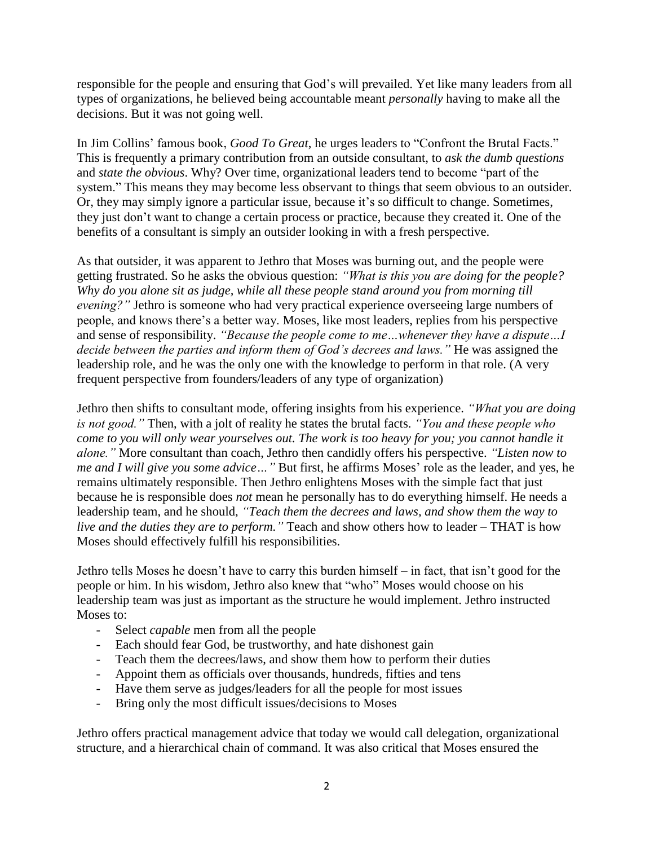responsible for the people and ensuring that God's will prevailed. Yet like many leaders from all types of organizations, he believed being accountable meant *personally* having to make all the decisions. But it was not going well.

In Jim Collins' famous book, *Good To Great*, he urges leaders to "Confront the Brutal Facts." This is frequently a primary contribution from an outside consultant, to *ask the dumb questions* and *state the obvious*. Why? Over time, organizational leaders tend to become "part of the system." This means they may become less observant to things that seem obvious to an outsider. Or, they may simply ignore a particular issue, because it's so difficult to change. Sometimes, they just don't want to change a certain process or practice, because they created it. One of the benefits of a consultant is simply an outsider looking in with a fresh perspective.

As that outsider, it was apparent to Jethro that Moses was burning out, and the people were getting frustrated. So he asks the obvious question: *"What is this you are doing for the people? Why do you alone sit as judge, while all these people stand around you from morning till evening?"* Jethro is someone who had very practical experience overseeing large numbers of people, and knows there's a better way. Moses, like most leaders, replies from his perspective and sense of responsibility. *"Because the people come to me…whenever they have a dispute…I decide between the parties and inform them of God's decrees and laws."* He was assigned the leadership role, and he was the only one with the knowledge to perform in that role. (A very frequent perspective from founders/leaders of any type of organization)

Jethro then shifts to consultant mode, offering insights from his experience. *"What you are doing is not good."* Then, with a jolt of reality he states the brutal facts. *"You and these people who come to you will only wear yourselves out. The work is too heavy for you; you cannot handle it alone."* More consultant than coach, Jethro then candidly offers his perspective. *"Listen now to me and I will give you some advice…"* But first, he affirms Moses' role as the leader, and yes, he remains ultimately responsible. Then Jethro enlightens Moses with the simple fact that just because he is responsible does *not* mean he personally has to do everything himself. He needs a leadership team, and he should, *"Teach them the decrees and laws, and show them the way to live and the duties they are to perform."* Teach and show others how to leader – THAT is how Moses should effectively fulfill his responsibilities.

Jethro tells Moses he doesn't have to carry this burden himself – in fact, that isn't good for the people or him. In his wisdom, Jethro also knew that "who" Moses would choose on his leadership team was just as important as the structure he would implement. Jethro instructed Moses to:

- Select *capable* men from all the people
- Each should fear God, be trustworthy, and hate dishonest gain
- Teach them the decrees/laws, and show them how to perform their duties
- Appoint them as officials over thousands, hundreds, fifties and tens
- Have them serve as judges/leaders for all the people for most issues
- Bring only the most difficult issues/decisions to Moses

Jethro offers practical management advice that today we would call delegation, organizational structure, and a hierarchical chain of command. It was also critical that Moses ensured the